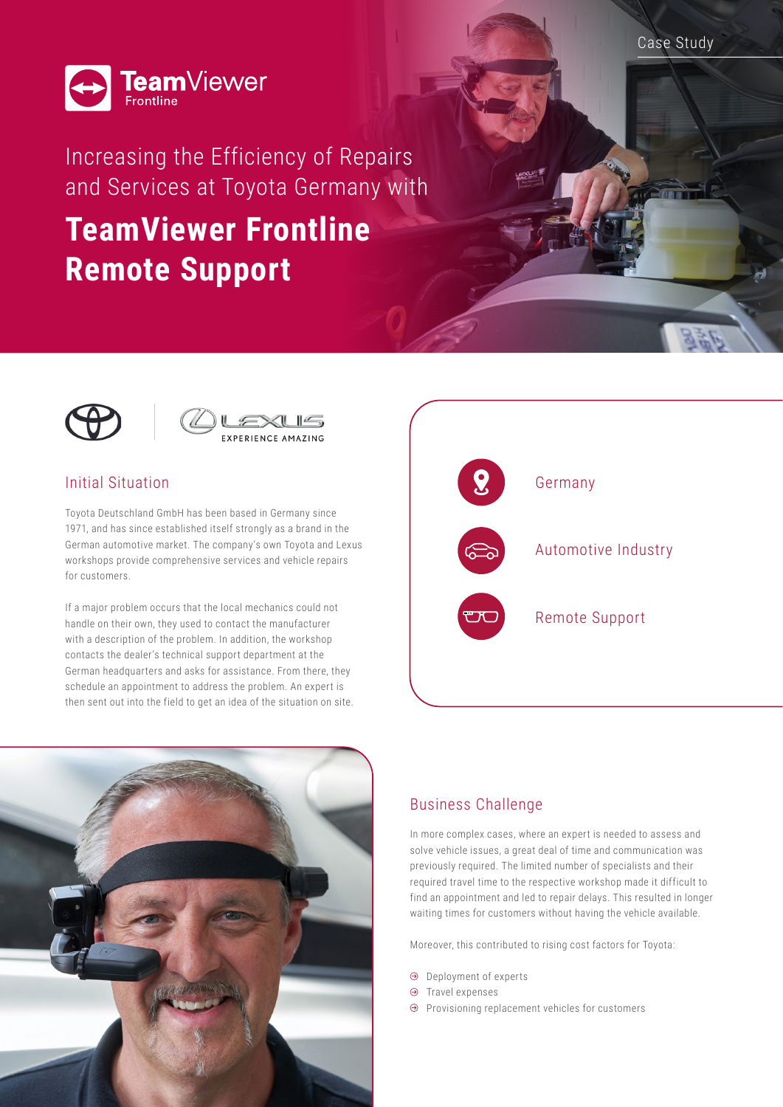Case Study



Increasing the Efficiency of Repairs and Services at Toyota Germany with

# **TeamViewer Frontline Remote Support**





# Initial Situation

Toyota Deutschland GmbH has been based in Germany since 1971, and has since established itself strongly as a brand in the German automotive market. The company's own Toyota and Lexus workshops provide comprehensive services and vehicle repairs for customers.

If a major problem occurs that the local mechanics could not handle on their own, they used to contact the manufacturer with a description of the problem. In addition, the workshop contacts the dealer's technical support department at the German headquarters and asks for assistance. From there, they schedule an appointment to address the problem. An expert is then sent out into the field to get an idea of the situation on site.





# Business Challenge

In more complex cases, where an expert is needed to assess and solve vehicle issues, a great deal of time and communication was previously required. The limited number of specialists and their required travel time to the respective workshop made it difficult to find an appointment and led to repair delays. This resulted in longer waiting times for customers without having the vehicle available.

Moreover, this contributed to rising cost factors for Toyota:

- Deployment of experts
- $\Theta$  Travel expenses
- $\Theta$  Provisioning replacement vehicles for customers